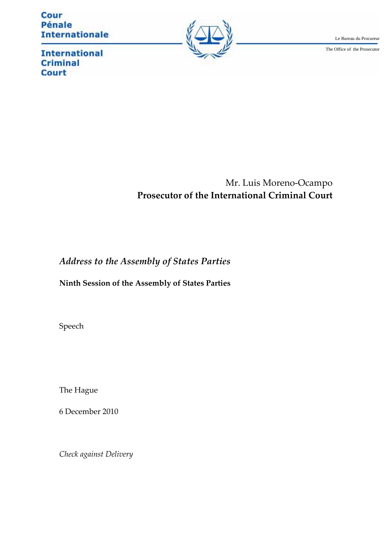Cour Pénale **Internationale** 



Le Bureau du Procureur

The Office of the Prosecutor

**International Criminal Court** 

# Mr. Luis Moreno-Ocampo **Prosecutor of the International Criminal Court**

## *Address to the Assembly of States Parties*

### **Ninth Session of the Assembly of States Parties**

Speech

The Hague

6 December 2010

*Check against Delivery*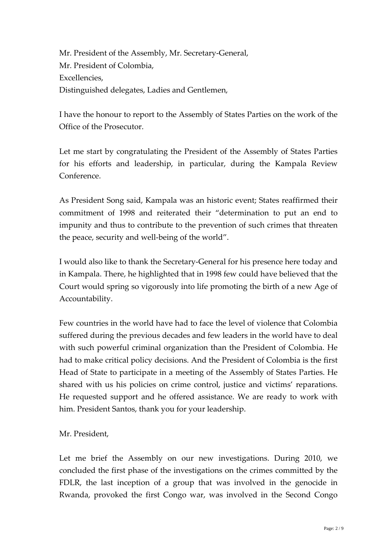Mr. President of the Assembly, Mr. Secretary-General, Mr. President of Colombia, Excellencies, Distinguished delegates, Ladies and Gentlemen,

I have the honour to report to the Assembly of States Parties on the work of the Office of the Prosecutor.

Let me start by congratulating the President of the Assembly of States Parties for his efforts and leadership, in particular, during the Kampala Review Conference.

As President Song said, Kampala was an historic event; States reaffirmed their commitment of 1998 and reiterated their "determination to put an end to impunity and thus to contribute to the prevention of such crimes that threaten the peace, security and well-being of the world".

I would also like to thank the SecretaryȬGeneral for his presence here today and in Kampala. There, he highlighted that in 1998 few could have believed that the Court would spring so vigorously into life promoting the birth of a new Age of Accountability.

Few countries in the world have had to face the level of violence that Colombia suffered during the previous decades and few leaders in the world have to deal with such powerful criminal organization than the President of Colombia. He had to make critical policy decisions. And the President of Colombia is the first Head of State to participate in a meeting of the Assembly of States Parties. He shared with us his policies on crime control, justice and victims' reparations. He requested support and he offered assistance. We are ready to work with him. President Santos, thank you for your leadership.

#### Mr. President,

Let me brief the Assembly on our new investigations. During 2010, we concluded the first phase of the investigations on the crimes committed by the FDLR, the last inception of a group that was involved in the genocide in Rwanda, provoked the first Congo war, was involved in the Second Congo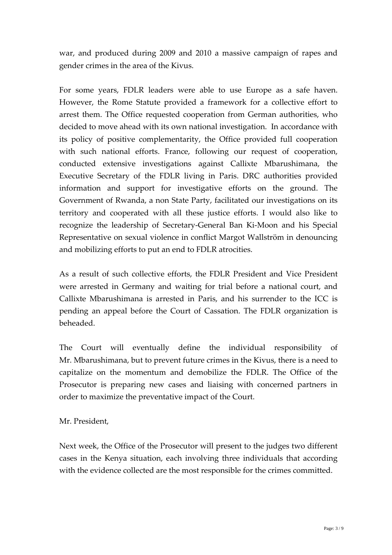war, and produced during 2009 and 2010 a massive campaign of rapes and gender crimes in the area of the Kivus.

For some years, FDLR leaders were able to use Europe as a safe haven. However, the Rome Statute provided a framework for a collective effort to arrest them. The Office requested cooperation from German authorities, who decided to move ahead with its own national investigation. In accordance with its policy of positive complementarity, the Office provided full cooperation with such national efforts. France, following our request of cooperation, conducted extensive investigations against Callixte Mbarushimana, the Executive Secretary of the FDLR living in Paris. DRC authorities provided information and support for investigative efforts on the ground. The Government of Rwanda, a non State Party, facilitated our investigations on its territory and cooperated with all these justice efforts. I would also like to recognize the leadership of Secretary-General Ban Ki-Moon and his Special Representative on sexual violence in conflict Margot Wallström in denouncing and mobilizing efforts to put an end to FDLR atrocities.

As a result of such collective efforts, the FDLR President and Vice President were arrested in Germany and waiting for trial before a national court, and Callixte Mbarushimana is arrested in Paris, and his surrender to the ICC is pending an appeal before the Court of Cassation. The FDLR organization is beheaded.ȱȱ

The Court will eventually define the individual responsibility of Mr. Mbarushimana, but to prevent future crimes in the Kivus, there is a need to capitalize on the momentum and demobilize the FDLR. The Office of the Prosecutor is preparing new cases and liaising with concerned partners in order to maximize the preventative impact of the Court.

### Mr. President,

Next week, the Office of the Prosecutor will present to the judges two different cases in the Kenya situation, each involving three individuals that according with the evidence collected are the most responsible for the crimes committed.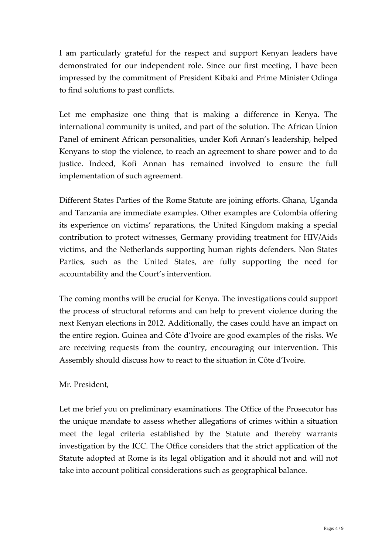I am particularly grateful for the respect and support Kenyan leaders have demonstrated for our independent role. Since our first meeting, I have been impressed by the commitment of President Kibaki and Prime Minister Odinga to find solutions to past conflicts.

Let me emphasize one thing that is making a difference in Kenya. The international community is united, and part of the solution. The African Union Panel of eminent African personalities, under Kofi Annan's leadership, helped Kenyans to stop the violence, to reach an agreement to share power and to do justice. Indeed, Kofi Annan has remained involved to ensure the full implementation of such agreement.

Different States Parties of the Rome Statute are joining efforts. Ghana, Uganda and Tanzania are immediate examples. Other examples are Colombia offering its experience on victims' reparations, the United Kingdom making a special contribution to protect witnesses, Germany providing treatment for HIV/Aids victims, and the Netherlands supporting human rights defenders. Non States Parties, such as the United States, are fully supporting the need for accountability and the Court's intervention.

The coming months will be crucial for Kenya. The investigations could support the process of structural reforms and can help to prevent violence during the next Kenyan elections in 2012. Additionally, the cases could have an impact on the entire region. Guinea and Côte d'Ivoire are good examples of the risks. We are receiving requests from the country, encouraging our intervention. This Assembly should discuss how to react to the situation in Côte d'Ivoire.

#### Mr. President,

Let me brief you on preliminary examinations. The Office of the Prosecutor has the unique mandate to assess whether allegations of crimes within a situation meet the legal criteria established by the Statute and thereby warrants investigation by the ICC. The Office considers that the strict application of the Statute adopted at Rome is its legal obligation and it should not and will not take into account political considerations such as geographical balance.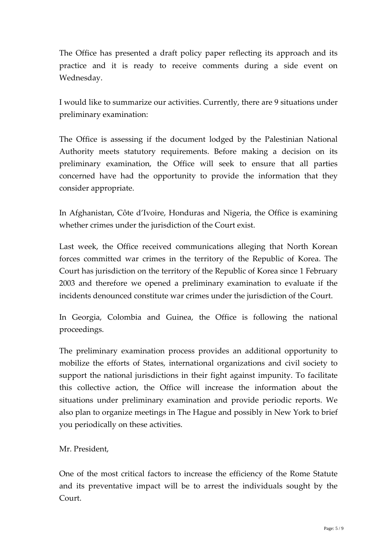The Office has presented a draft policy paper reflecting its approach and its practice and it is ready to receive comments during a side event on Wednesday.

I would like to summarize our activities. Currently, there are 9 situations under preliminary examination:

The Office is assessing if the document lodged by the Palestinian National Authority meets statutory requirements. Before making a decision on its preliminary examination, the Office will seek to ensure that all parties concerned have had the opportunity to provide the information that they consider appropriate.

In Afghanistan, Côte d'Ivoire, Honduras and Nigeria, the Office is examining whether crimes under the jurisdiction of the Court exist.

Last week, the Office received communications alleging that North Korean forces committed war crimes in the territory of the Republic of Korea. The Court has jurisdiction on the territory of the Republic of Korea since 1 February 2003 and therefore we opened a preliminary examination to evaluate if the incidents denounced constitute war crimes under the jurisdiction of the Court.

In Georgia, Colombia and Guinea, the Office is following the national proceedings.

The preliminary examination process provides an additional opportunity to mobilize the efforts of States, international organizations and civil society to support the national jurisdictions in their fight against impunity. To facilitate this collective action, the Office will increase the information about the situations under preliminary examination and provide periodic reports. We also plan to organize meetings in The Hague and possibly in New York to brief you periodically on these activities.

Mr. President,

One of the most critical factors to increase the efficiency of the Rome Statute and its preventative impact will be to arrest the individuals sought by the  $C_{\text{O}11}$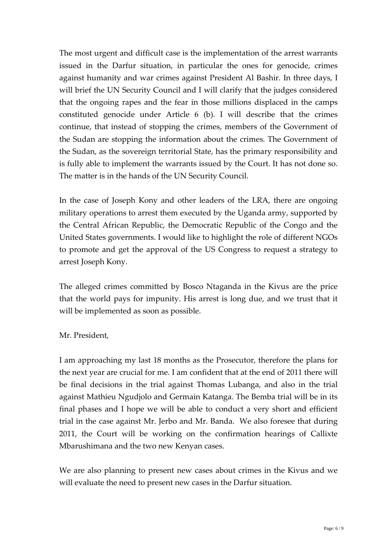The most urgent and difficult case is the implementation of the arrest warrants issued in the Darfur situation, in particular the ones for genocide, crimes against humanity and war crimes against President Al Bashir. In three days, I will brief the UN Security Council and I will clarify that the judges considered that the ongoing rapes and the fear in those millions displaced in the camps constituted genocide under Article 6 (b). I will describe that the crimes continue, that instead of stopping the crimes, members of the Government of the Sudan are stopping the information about the crimes. The Government of the Sudan, as the sovereign territorial State, has the primary responsibility and is fully able to implement the warrants issued by the Court. It has not done so. The matter is in the hands of the UN Security Council.

In the case of Joseph Kony and other leaders of the LRA, there are ongoing military operations to arrest them executed by the Uganda army, supported by the Central African Republic, the Democratic Republic of the Congo and the United States governments. I would like to highlight the role of different NGOs to promote and get the approval of the US Congress to request a strategy to arrest Joseph Kony.

The alleged crimes committed by Bosco Ntaganda in the Kivus are the price that the world pays for impunity. His arrest is long due, and we trust that it will be implemented as soon as possible.

#### Mr. President,

I am approaching my last 18 months as the Prosecutor, therefore the plans for the next year are crucial for me. I am confident that at the end of 2011 there will be final decisions in the trial against Thomas Lubanga, and also in the trial against Mathieu Ngudjolo and Germain Katanga. The Bemba trial will be in its final phases and I hope we will be able to conduct a very short and efficient trial in the case against Mr. Jerbo and Mr. Banda. We also foresee that during 2011, the Court will be working on the confirmation hearings of Callixte Mbarushimana and the two new Kenyan cases.

We are also planning to present new cases about crimes in the Kivus and we will evaluate the need to present new cases in the Darfur situation.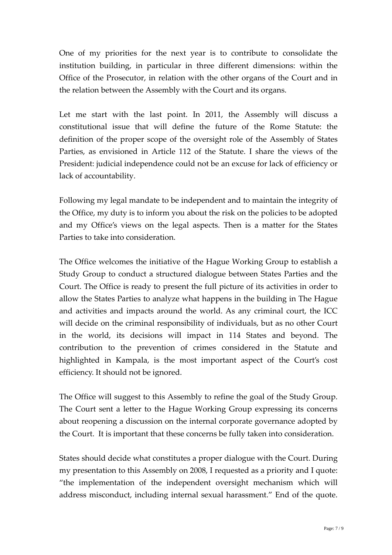One of my priorities for the next year is to contribute to consolidate the institution building, in particular in three different dimensions: within the Office of the Prosecutor, in relation with the other organs of the Court and in the relation between the Assembly with the Court and its organs.

Let me start with the last point. In 2011, the Assembly will discuss a constitutional issue that will define the future of the Rome Statute: the definition of the proper scope of the oversight role of the Assembly of States Parties, as envisioned in Article 112 of the Statute. I share the views of the President: judicial independence could not be an excuse for lack of efficiency or lack of accountability.

Following my legal mandate to be independent and to maintain the integrity of the Office, my duty is to inform you about the risk on the policies to be adopted and my Office's views on the legal aspects. Then is a matter for the States Parties to take into consideration.

The Office welcomes the initiative of the Hague Working Group to establish a Study Group to conduct a structured dialogue between States Parties and the Court. The Office is ready to present the full picture of its activities in order to allow the States Parties to analyze what happens in the building in The Hague and activities and impacts around the world. As any criminal court, the ICC will decide on the criminal responsibility of individuals, but as no other Court in the world, its decisions will impact in 114 States and beyond. The contribution to the prevention of crimes considered in the Statute and highlighted in Kampala, is the most important aspect of the Court's cost efficiency. It should not be ignored.

The Office will suggest to this Assembly to refine the goal of the Study Group. The Court sent a letter to the Hague Working Group expressing its concerns about reopening a discussion on the internal corporate governance adopted by the Court. It is important that these concerns be fully taken into consideration.

States should decide what constitutes a proper dialogue with the Court. During my presentation to this Assembly on 2008, I requested as a priority and I quote: "the implementation of the independent oversight mechanism which will address misconduct, including internal sexual harassment." End of the quote.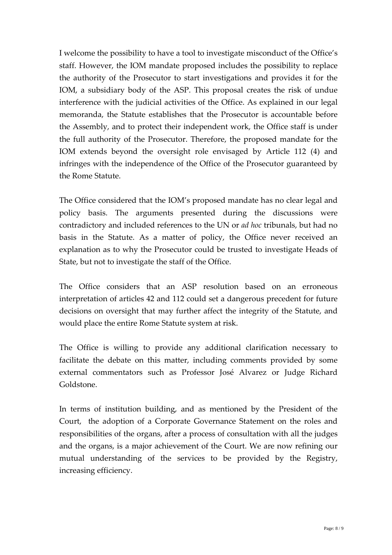I welcome the possibility to have a tool to investigate misconduct of the Office's staff. However, the IOM mandate proposed includes the possibility to replace the authority of the Prosecutor to start investigations and provides it for the IOM, a subsidiary body of the ASP. This proposal creates the risk of undue interference with the judicial activities of the Office. As explained in our legal memoranda, the Statute establishes that the Prosecutor is accountable before the Assembly, and to protect their independent work, the Office staff is under the full authority of the Prosecutor. Therefore, the proposed mandate for the IOM extends beyond the oversight role envisaged by Article 112 (4) and infringes with the independence of the Office of the Prosecutor guaranteed by the Rome Statute.

The Office considered that the IOM's proposed mandate has no clear legal and policy basis. The arguments presented during the discussions were contradictory and included references to the UN or *ad hoc* tribunals, but had no basis in the Statute. As a matter of policy, the Office never received an explanation as to why the Prosecutor could be trusted to investigate Heads of State, but not to investigate the staff of the Office.

The Office considers that an ASP resolution based on an erroneous interpretation of articles 42 and 112 could set a dangerous precedent for future decisions on oversight that may further affect the integrity of the Statute, and would place the entire Rome Statute system at risk.

The Office is willing to provide any additional clarification necessary to facilitate the debate on this matter, including comments provided by some external commentators such as Professor José Alvarez or Judge Richard Goldstone.

In terms of institution building, and as mentioned by the President of the Court, the adoption of a Corporate Governance Statement on the roles and responsibilities of the organs, after a process of consultation with all the judges and the organs, is a major achievement of the Court. We are now refining our mutual understanding of the services to be provided by the Registry, increasing efficiency.